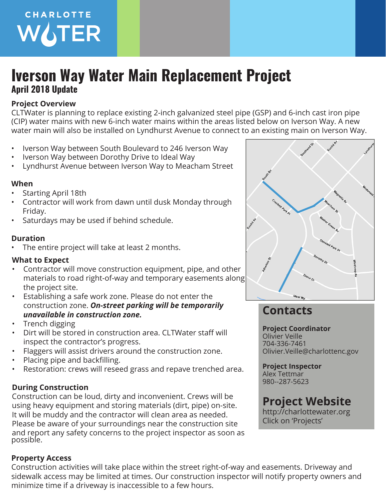

# **Iverson Way Water Main Replacement Project April 2018 Update**

### **Project Overview**

CLTWater is planning to replace existing 2-inch galvanized steel pipe (GSP) and 6-inch cast iron pipe (CIP) water mains with new 6-inch water mains within the areas listed below on Iverson Way. A new water main will also be installed on Lyndhurst Avenue to connect to an existing main on Iverson Way.

- Iverson Way between South Boulevard to 246 Iverson Way
- Iverson Way between Dorothy Drive to Ideal Way
- Lyndhurst Avenue between Iverson Way to Meacham Street

## **When**

- Starting April 18th
- Contractor will work from dawn until dusk Monday through Friday.
- Saturdays may be used if behind schedule.

### **Duration**

The entire project will take at least 2 months.

### **What to Expect**

- Contractor will move construction equipment, pipe, and other materials to road right-of-way and temporary easements along the project site.
- Establishing a safe work zone. Please do not enter the construction zone. *On-street parking will be temporarily unavailable in construction zone.*
- Trench digging
- Dirt will be stored in construction area. CLTWater staff will inspect the contractor's progress.
- Flaggers will assist drivers around the construction zone.
- Placing pipe and backfilling.
- Restoration: crews will reseed grass and repave trenched area.

## **During Construction**

Construction can be loud, dirty and inconvenient. Crews will be using heavy equipment and storing materials (dirt, pipe) on-site. It will be muddy and the contractor will clean area as needed. Please be aware of your surroundings near the construction site and report any safety concerns to the project inspector as soon as possible.

## **Property Access**

Construction activities will take place within the street right-of-way and easements. Driveway and sidewalk access may be limited at times. Our construction inspector will notify property owners and minimize time if a driveway is inaccessible to a few hours.



# **Contacts**

**Project Coordinator** Olivier Veille 704-336-7461 Olivier.Veille@charlottenc.gov

**Project Inspector** Alex Tettmar 980--287-5623

# **Project Website**

http://charlottewater.org Click on 'Projects'